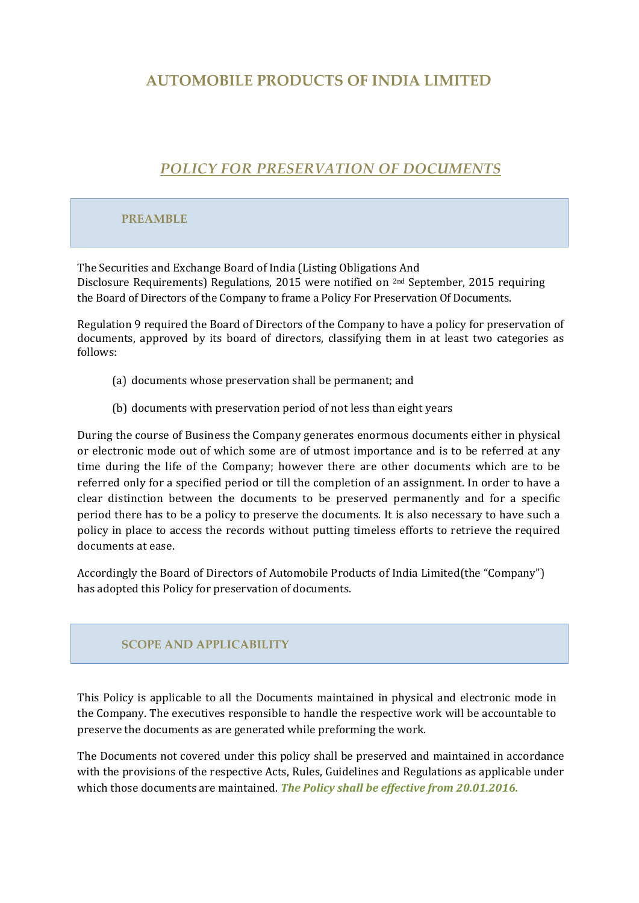# **AUTOMOBILE PRODUCTS OF INDIA LIMITED**

# *POLICY FOR PRESERVATION OF DOCUMENTS*

# **PREAMBLE**

The Securities and Exchange Board of India (Listing Obligations And Disclosure Requirements) Regulations, 2015 were notified on 2nd September, 2015 requiring the Board of Directors of the Company to frame a Policy For Preservation Of Documents.

Regulation 9 required the Board of Directors of the Company to have a policy for preservation of documents, approved by its board of directors, classifying them in at least two categories as follows:

- (a) documents whose preservation shall be permanent; and
- (b) documents with preservation period of not less than eight years

During the course of Business the Company generates enormous documents either in physical or electronic mode out of which some are of utmost importance and is to be referred at any time during the life of the Company; however there are other documents which are to be referred only for a specified period or till the completion of an assignment. In order to have a clear distinction between the documents to be preserved permanently and for a specific period there has to be a policy to preserve the documents. It is also necessary to have such a policy in place to access the records without putting timeless efforts to retrieve the required documents at ease.

Accordingly the Board of Directors of Automobile Products of India Limited(the "Company") has adopted this Policy for preservation of documents.

### **SCOPE AND APPLICABILITY**

This Policy is applicable to all the Documents maintained in physical and electronic mode in the Company. The executives responsible to handle the respective work will be accountable to preserve the documents as are generated while preforming the work.

The Documents not covered under this policy shall be preserved and maintained in accordance with the provisions of the respective Acts, Rules, Guidelines and Regulations as applicable under which those documents are maintained. *The Policy shall be effective from 20.01.2016.*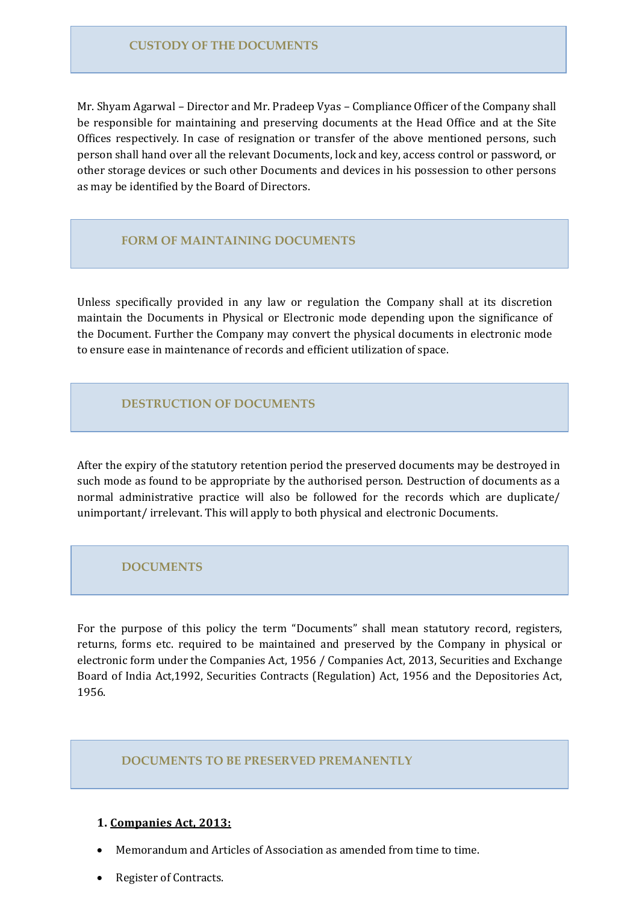### **CUSTODY OF THE DOCUMENTS**

Mr. Shyam Agarwal – Director and Mr. Pradeep Vyas – Compliance Officer of the Company shall be responsible for maintaining and preserving documents at the Head Office and at the Site Offices respectively. In case of resignation or transfer of the above mentioned persons, such person shall hand over all the relevant Documents, lock and key, access control or password, or other storage devices or such other Documents and devices in his possession to other persons as may be identified by the Board of Directors.

### **FORM OF MAINTAINING DOCUMENTS**

Unless specifically provided in any law or regulation the Company shall at its discretion maintain the Documents in Physical or Electronic mode depending upon the significance of the Document. Further the Company may convert the physical documents in electronic mode to ensure ease in maintenance of records and efficient utilization of space.

### **DESTRUCTION OF DOCUMENTS**

After the expiry of the statutory retention period the preserved documents may be destroyed in such mode as found to be appropriate by the authorised person. Destruction of documents as a normal administrative practice will also be followed for the records which are duplicate/ unimportant/ irrelevant. This will apply to both physical and electronic Documents.

### **DOCUMENTS**

For the purpose of this policy the term "Documents" shall mean statutory record, registers, returns, forms etc. required to be maintained and preserved by the Company in physical or electronic form under the Companies Act, 1956 / Companies Act, 2013, Securities and Exchange Board of India Act,1992, Securities Contracts (Regulation) Act, 1956 and the Depositories Act, 1956.

### **DOCUMENTS TO BE PRESERVED PREMANENTLY**

#### **1. Companies Act, 2013:**

- Memorandum and Articles of Association as amended from time to time.
- Register of Contracts.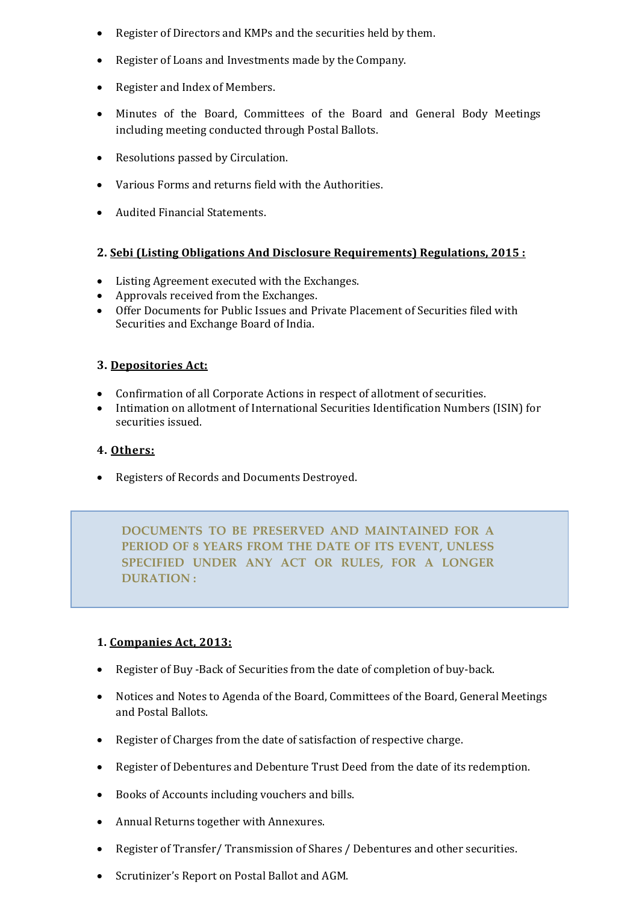- Register of Directors and KMPs and the securities held by them.
- Register of Loans and Investments made by the Company.
- Register and Index of Members.
- Minutes of the Board, Committees of the Board and General Body Meetings including meeting conducted through Postal Ballots.
- Resolutions passed by Circulation.
- Various Forms and returns field with the Authorities.
- Audited Financial Statements.

# **2. Sebi (Listing Obligations And Disclosure Requirements) Regulations, 2015 :**

- Listing Agreement executed with the Exchanges.
- Approvals received from the Exchanges.
- Offer Documents for Public Issues and Private Placement of Securities filed with Securities and Exchange Board of India.

# **3. Depositories Act:**

- Confirmation of all Corporate Actions in respect of allotment of securities.
- Intimation on allotment of International Securities Identification Numbers (ISIN) for securities issued.

# **4. Others:**

• Registers of Records and Documents Destroyed.

**DOCUMENTS TO BE PRESERVED AND MAINTAINED FOR A PERIOD OF 8 YEARS FROM THE DATE OF ITS EVENT, UNLESS SPECIFIED UNDER ANY ACT OR RULES, FOR A LONGER DURATION :**

# **1. Companies Act, 2013:**

- Register of Buy -Back of Securities from the date of completion of buy-back.
- Notices and Notes to Agenda of the Board, Committees of the Board, General Meetings and Postal Ballots.
- Register of Charges from the date of satisfaction of respective charge.
- Register of Debentures and Debenture Trust Deed from the date of its redemption.
- Books of Accounts including vouchers and bills.
- Annual Returns together with Annexures.
- Register of Transfer/ Transmission of Shares / Debentures and other securities.
- Scrutinizer's Report on Postal Ballot and AGM.